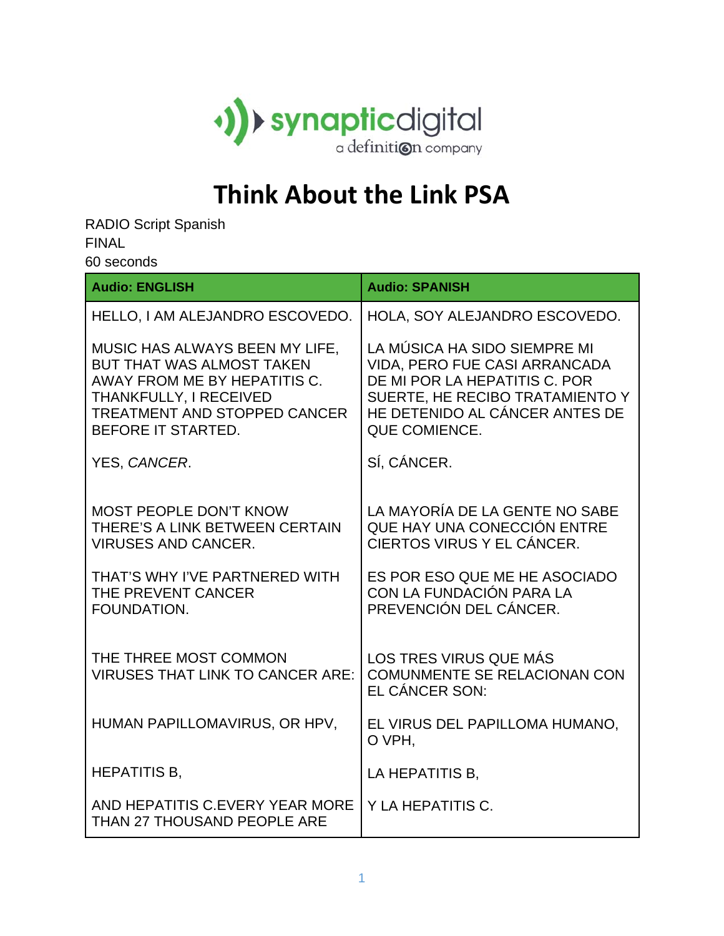

## **Think About the Link PSA**

RADIO Script Spanish FINAL

60 seconds

| <b>Audio: ENGLISH</b>                                                                                                                                                              | <b>Audio: SPANISH</b>                                                                                                                                                                       |
|------------------------------------------------------------------------------------------------------------------------------------------------------------------------------------|---------------------------------------------------------------------------------------------------------------------------------------------------------------------------------------------|
| HELLO, I AM ALEJANDRO ESCOVEDO.                                                                                                                                                    | HOLA, SOY ALEJANDRO ESCOVEDO.                                                                                                                                                               |
| MUSIC HAS ALWAYS BEEN MY LIFE,<br><b>BUT THAT WAS ALMOST TAKEN</b><br>AWAY FROM ME BY HEPATITIS C.<br>THANKFULLY, I RECEIVED<br>TREATMENT AND STOPPED CANCER<br>BEFORE IT STARTED. | LA MÚSICA HA SIDO SIEMPRE MI<br>VIDA, PERO FUE CASI ARRANCADA<br>DE MI POR LA HEPATITIS C. POR<br>SUERTE, HE RECIBO TRATAMIENTO Y<br>HE DETENIDO AL CÁNCER ANTES DE<br><b>QUE COMIENCE.</b> |
| YES, CANCER.                                                                                                                                                                       | SÍ, CÁNCER.                                                                                                                                                                                 |
| <b>MOST PEOPLE DON'T KNOW</b><br>THERE'S A LINK BETWEEN CERTAIN<br><b>VIRUSES AND CANCER.</b><br>THAT'S WHY I'VE PARTNERED WITH<br>THE PREVENT CANCER<br>FOUNDATION.               | LA MAYORÍA DE LA GENTE NO SABE<br>QUE HAY UNA CONECCIÓN ENTRE<br>CIERTOS VIRUS Y EL CÁNCER.<br>ES POR ESO QUE ME HE ASOCIADO<br>CON LA FUNDACIÓN PARA LA<br>PREVENCIÓN DEL CÁNCER.          |
| THE THREE MOST COMMON<br><b>VIRUSES THAT LINK TO CANCER ARE:</b>                                                                                                                   | LOS TRES VIRUS QUE MÁS<br><b>COMUNMENTE SE RELACIONAN CON</b><br>EL CÁNCER SON:                                                                                                             |
| HUMAN PAPILLOMAVIRUS, OR HPV,                                                                                                                                                      | EL VIRUS DEL PAPILLOMA HUMANO,<br>O VPH.                                                                                                                                                    |
| <b>HEPATITIS B.</b>                                                                                                                                                                | LA HEPATITIS B.                                                                                                                                                                             |
| AND HEPATITIS C.EVERY YEAR MORE<br>THAN 27 THOUSAND PEOPLE ARE                                                                                                                     | Y LA HEPATITIS C.                                                                                                                                                                           |